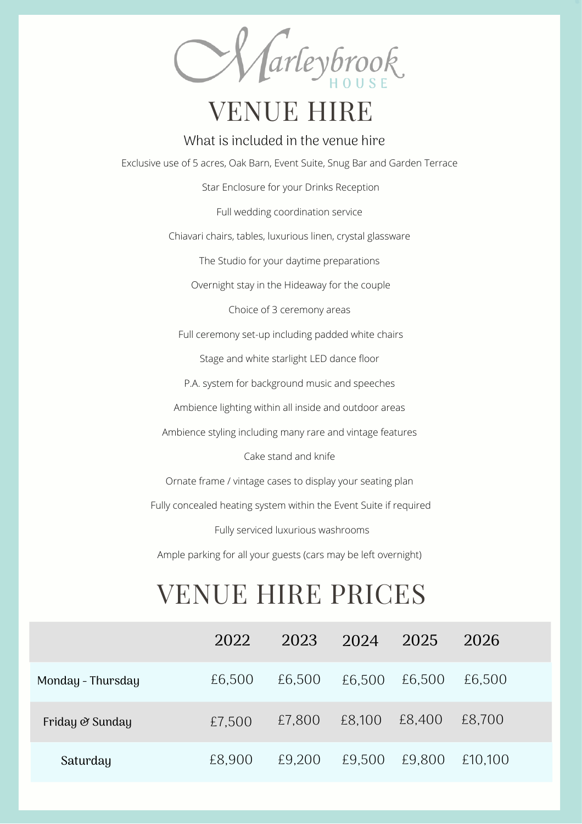arleybrook

## VENUE HIRE

#### What is included in the venue hire

Exclusive use of 5 acres, Oak Barn, Event Suite, Snug Bar and Garden Terrace

Star Enclosure for your Drinks Reception

Full wedding coordination service

Chiavari chairs, tables, luxurious linen, crystal glassware

The Studio for your daytime preparations

Overnight stay in the Hideaway for the couple

Choice of 3 ceremony areas

Full ceremony set-up including padded white chairs

Stage and white starlight LED dance floor

P.A. system for background music and speeches

Ambience lighting within all inside and outdoor areas

Ambience styling including many rare and vintage features

Cake stand and knife

Ornate frame / vintage cases to display your seating plan

Fully concealed heating system within the Event Suite if required

Fully serviced luxurious washrooms

Ample parking for all your guests (cars may be left overnight)

### VENUE HIRE PRICES

|                   | 2022   | 2023   | 2024 2025     |        | 2026    |
|-------------------|--------|--------|---------------|--------|---------|
| Monday - Thursday | £6,500 | £6,500 | £6,500        | £6,500 | £6.500  |
| Friday & Sunday   | £7,500 | £7,800 | £8,100 £8,400 |        | £8,700  |
| Saturday          | £8,900 | £9,200 | £9,500        | £9,800 | £10,100 |